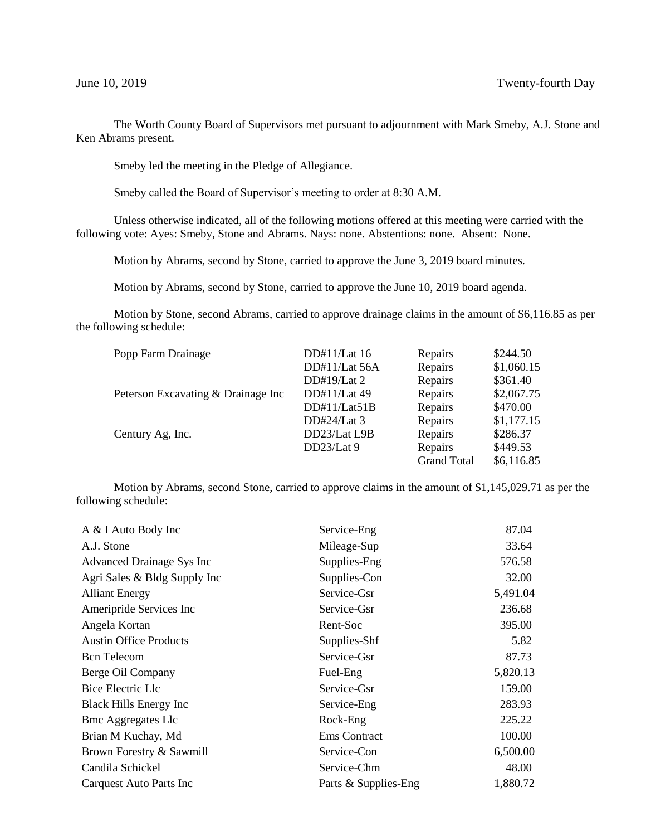The Worth County Board of Supervisors met pursuant to adjournment with Mark Smeby, A.J. Stone and Ken Abrams present.

Smeby led the meeting in the Pledge of Allegiance.

Smeby called the Board of Supervisor's meeting to order at 8:30 A.M.

Unless otherwise indicated, all of the following motions offered at this meeting were carried with the following vote: Ayes: Smeby, Stone and Abrams. Nays: none. Abstentions: none. Absent: None.

Motion by Abrams, second by Stone, carried to approve the June 3, 2019 board minutes.

Motion by Abrams, second by Stone, carried to approve the June 10, 2019 board agenda.

Motion by Stone, second Abrams, carried to approve drainage claims in the amount of \$6,116.85 as per the following schedule:

| Popp Farm Drainage                 | DD#11/Lat 16  | Repairs            | \$244.50   |
|------------------------------------|---------------|--------------------|------------|
|                                    | DD#11/Lat 56A | Repairs            | \$1,060.15 |
|                                    | DD#19/Lat $2$ | Repairs            | \$361.40   |
| Peterson Excavating & Drainage Inc | DD#11/Lat 49  | Repairs            | \$2,067.75 |
|                                    | DD#11/Lat51B  | Repairs            | \$470.00   |
|                                    | DD#24/Lat 3   | Repairs            | \$1,177.15 |
| Century Ag, Inc.                   | DD23/Lat L9B  | Repairs            | \$286.37   |
|                                    | DD23/Lat 9    | Repairs            | \$449.53   |
|                                    |               | <b>Grand Total</b> | \$6,116.85 |
|                                    |               |                    |            |

Motion by Abrams, second Stone, carried to approve claims in the amount of \$1,145,029.71 as per the following schedule:

| A & I Auto Body Inc            | Service-Eng          | 87.04    |
|--------------------------------|----------------------|----------|
| A.J. Stone                     | Mileage-Sup          | 33.64    |
| Advanced Drainage Sys Inc      | Supplies-Eng         | 576.58   |
| Agri Sales & Bldg Supply Inc   | Supplies-Con         | 32.00    |
| <b>Alliant Energy</b>          | Service-Gsr          | 5,491.04 |
| Ameripride Services Inc        | Service-Gsr          | 236.68   |
| Angela Kortan                  | Rent-Soc             | 395.00   |
| <b>Austin Office Products</b>  | Supplies-Shf         | 5.82     |
| <b>Bcn</b> Telecom             | Service-Gsr          | 87.73    |
| Berge Oil Company              | Fuel-Eng             | 5,820.13 |
| Bice Electric Llc              | Service-Gsr          | 159.00   |
| <b>Black Hills Energy Inc</b>  | Service-Eng          | 283.93   |
| <b>Bmc Aggregates Llc</b>      | Rock-Eng             | 225.22   |
| Brian M Kuchay, Md             | <b>Ems</b> Contract  | 100.00   |
| Brown Forestry & Sawmill       | Service-Con          | 6,500.00 |
| Candila Schickel               | Service-Chm          | 48.00    |
| <b>Carquest Auto Parts Inc</b> | Parts & Supplies-Eng | 1,880.72 |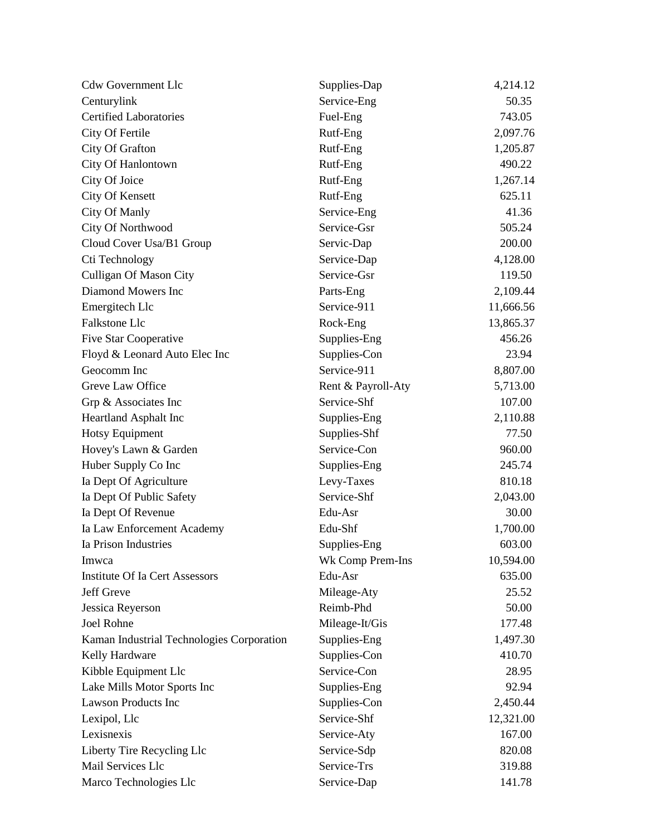| <b>Cdw Government Llc</b>                 | Supplies-Dap       | 4,214.12  |
|-------------------------------------------|--------------------|-----------|
| Centurylink                               | Service-Eng        | 50.35     |
| <b>Certified Laboratories</b>             | Fuel-Eng           | 743.05    |
| City Of Fertile                           | Rutf-Eng           | 2,097.76  |
| City Of Grafton                           | Rutf-Eng           | 1,205.87  |
| City Of Hanlontown                        | Rutf-Eng           | 490.22    |
| City Of Joice                             | Rutf-Eng           | 1,267.14  |
| <b>City Of Kensett</b>                    | Rutf-Eng           | 625.11    |
| City Of Manly                             | Service-Eng        | 41.36     |
| City Of Northwood                         | Service-Gsr        | 505.24    |
| Cloud Cover Usa/B1 Group                  | Servic-Dap         | 200.00    |
| Cti Technology                            | Service-Dap        | 4,128.00  |
| <b>Culligan Of Mason City</b>             | Service-Gsr        | 119.50    |
| Diamond Mowers Inc                        | Parts-Eng          | 2,109.44  |
| Emergitech Llc                            | Service-911        | 11,666.56 |
| <b>Falkstone Llc</b>                      | Rock-Eng           | 13,865.37 |
| <b>Five Star Cooperative</b>              | Supplies-Eng       | 456.26    |
| Floyd & Leonard Auto Elec Inc             | Supplies-Con       | 23.94     |
| Geocomm Inc                               | Service-911        | 8,807.00  |
| Greve Law Office                          | Rent & Payroll-Aty | 5,713.00  |
| Grp & Associates Inc                      | Service-Shf        | 107.00    |
| Heartland Asphalt Inc                     | Supplies-Eng       | 2,110.88  |
| <b>Hotsy Equipment</b>                    | Supplies-Shf       | 77.50     |
| Hovey's Lawn & Garden                     | Service-Con        | 960.00    |
| Huber Supply Co Inc                       | Supplies-Eng       | 245.74    |
| Ia Dept Of Agriculture                    | Levy-Taxes         | 810.18    |
| Ia Dept Of Public Safety                  | Service-Shf        | 2,043.00  |
| Ia Dept Of Revenue                        | Edu-Asr            | 30.00     |
| Ia Law Enforcement Academy                | Edu-Shf            | 1,700.00  |
| Ia Prison Industries                      | Supplies-Eng       | 603.00    |
| Imwca                                     | Wk Comp Prem-Ins   | 10,594.00 |
| <b>Institute Of Ia Cert Assessors</b>     | Edu-Asr            | 635.00    |
| Jeff Greve                                | Mileage-Aty        | 25.52     |
| Jessica Reyerson                          | Reimb-Phd          | 50.00     |
| Joel Rohne                                | Mileage-It/Gis     | 177.48    |
| Kaman Industrial Technologies Corporation | Supplies-Eng       | 1,497.30  |
| Kelly Hardware                            | Supplies-Con       | 410.70    |
| Kibble Equipment Llc                      | Service-Con        | 28.95     |
| Lake Mills Motor Sports Inc               | Supplies-Eng       | 92.94     |
| <b>Lawson Products Inc</b>                | Supplies-Con       | 2,450.44  |
| Lexipol, Llc                              | Service-Shf        | 12,321.00 |
| Lexisnexis                                | Service-Aty        | 167.00    |
| Liberty Tire Recycling Llc                | Service-Sdp        | 820.08    |
| Mail Services Llc                         | Service-Trs        | 319.88    |
| Marco Technologies Llc                    | Service-Dap        | 141.78    |
|                                           |                    |           |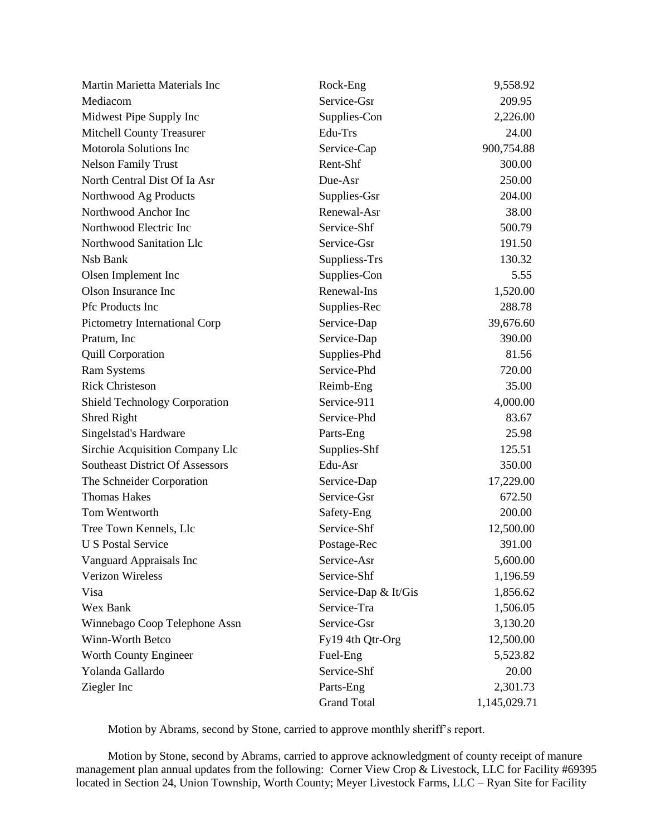| Martin Marietta Materials Inc          | Rock-Eng             | 9,558.92     |
|----------------------------------------|----------------------|--------------|
| Mediacom                               | Service-Gsr          | 209.95       |
| Midwest Pipe Supply Inc                | Supplies-Con         | 2,226.00     |
| <b>Mitchell County Treasurer</b>       | Edu-Trs              | 24.00        |
| Motorola Solutions Inc                 | Service-Cap          | 900,754.88   |
| <b>Nelson Family Trust</b>             | Rent-Shf             | 300.00       |
| North Central Dist Of Ia Asr           | Due-Asr              | 250.00       |
| Northwood Ag Products                  | Supplies-Gsr         | 204.00       |
| Northwood Anchor Inc                   | Renewal-Asr          | 38.00        |
| Northwood Electric Inc                 | Service-Shf          | 500.79       |
| Northwood Sanitation Llc               | Service-Gsr          | 191.50       |
| Nsb Bank                               | Suppliess-Trs        | 130.32       |
| Olsen Implement Inc                    | Supplies-Con         | 5.55         |
| Olson Insurance Inc                    | Renewal-Ins          | 1,520.00     |
| Pfc Products Inc                       | Supplies-Rec         | 288.78       |
| Pictometry International Corp          | Service-Dap          | 39,676.60    |
| Pratum, Inc                            | Service-Dap          | 390.00       |
| Quill Corporation                      | Supplies-Phd         | 81.56        |
| <b>Ram Systems</b>                     | Service-Phd          | 720.00       |
| <b>Rick Christeson</b>                 | Reimb-Eng            | 35.00        |
| <b>Shield Technology Corporation</b>   | Service-911          | 4,000.00     |
| Shred Right                            | Service-Phd          | 83.67        |
| Singelstad's Hardware                  | Parts-Eng            | 25.98        |
| Sirchie Acquisition Company Llc        | Supplies-Shf         | 125.51       |
| <b>Southeast District Of Assessors</b> | Edu-Asr              | 350.00       |
| The Schneider Corporation              | Service-Dap          | 17,229.00    |
| <b>Thomas Hakes</b>                    | Service-Gsr          | 672.50       |
| Tom Wentworth                          | Safety-Eng           | 200.00       |
| Tree Town Kennels, Llc                 | Service-Shf          | 12,500.00    |
| <b>U S Postal Service</b>              | Postage-Rec          | 391.00       |
| Vanguard Appraisals Inc                | Service-Asr          | 5,600.00     |
| <b>Verizon Wireless</b>                | Service-Shf          | 1,196.59     |
| Visa                                   | Service-Dap & It/Gis | 1,856.62     |
| Wex Bank                               | Service-Tra          | 1,506.05     |
| Winnebago Coop Telephone Assn          | Service-Gsr          | 3,130.20     |
| Winn-Worth Betco                       | Fy19 4th Qtr-Org     | 12,500.00    |
| Worth County Engineer                  | Fuel-Eng             | 5,523.82     |
| Yolanda Gallardo                       | Service-Shf          | 20.00        |
| Ziegler Inc                            | Parts-Eng            | 2,301.73     |
|                                        | <b>Grand Total</b>   | 1,145,029.71 |

Motion by Abrams, second by Stone, carried to approve monthly sheriff's report.

 Motion by Stone, second by Abrams, carried to approve acknowledgment of county receipt of manure management plan annual updates from the following: Corner View Crop & Livestock, LLC for Facility #69395 located in Section 24, Union Township, Worth County; Meyer Livestock Farms, LLC – Ryan Site for Facility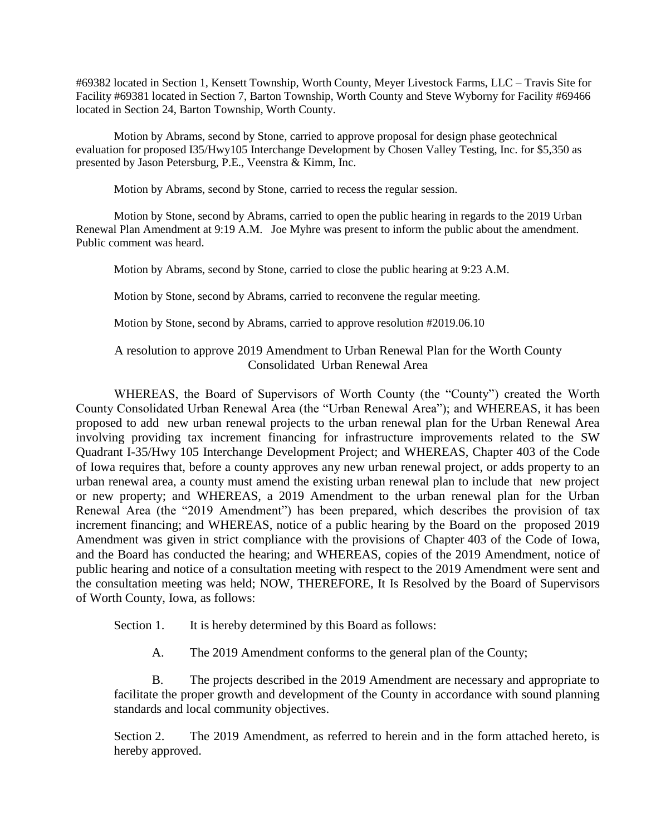#69382 located in Section 1, Kensett Township, Worth County, Meyer Livestock Farms, LLC – Travis Site for Facility #69381 located in Section 7, Barton Township, Worth County and Steve Wyborny for Facility #69466 located in Section 24, Barton Township, Worth County.

Motion by Abrams, second by Stone, carried to approve proposal for design phase geotechnical evaluation for proposed I35/Hwy105 Interchange Development by Chosen Valley Testing, Inc. for \$5,350 as presented by Jason Petersburg, P.E., Veenstra & Kimm, Inc.

Motion by Abrams, second by Stone, carried to recess the regular session.

Motion by Stone, second by Abrams, carried to open the public hearing in regards to the 2019 Urban Renewal Plan Amendment at 9:19 A.M. Joe Myhre was present to inform the public about the amendment. Public comment was heard.

Motion by Abrams, second by Stone, carried to close the public hearing at 9:23 A.M.

Motion by Stone, second by Abrams, carried to reconvene the regular meeting.

Motion by Stone, second by Abrams, carried to approve resolution #2019.06.10

## A resolution to approve 2019 Amendment to Urban Renewal Plan for the Worth County Consolidated Urban Renewal Area

WHEREAS, the Board of Supervisors of Worth County (the "County") created the Worth County Consolidated Urban Renewal Area (the "Urban Renewal Area"); and WHEREAS, it has been proposed to add new urban renewal projects to the urban renewal plan for the Urban Renewal Area involving providing tax increment financing for infrastructure improvements related to the SW Quadrant I-35/Hwy 105 Interchange Development Project; and WHEREAS, Chapter 403 of the Code of Iowa requires that, before a county approves any new urban renewal project, or adds property to an urban renewal area, a county must amend the existing urban renewal plan to include that new project or new property; and WHEREAS, a 2019 Amendment to the urban renewal plan for the Urban Renewal Area (the "2019 Amendment") has been prepared, which describes the provision of tax increment financing; and WHEREAS, notice of a public hearing by the Board on the proposed 2019 Amendment was given in strict compliance with the provisions of Chapter 403 of the Code of Iowa, and the Board has conducted the hearing; and WHEREAS, copies of the 2019 Amendment, notice of public hearing and notice of a consultation meeting with respect to the 2019 Amendment were sent and the consultation meeting was held; NOW, THEREFORE, It Is Resolved by the Board of Supervisors of Worth County, Iowa, as follows:

Section 1. It is hereby determined by this Board as follows:

A. The 2019 Amendment conforms to the general plan of the County;

B. The projects described in the 2019 Amendment are necessary and appropriate to facilitate the proper growth and development of the County in accordance with sound planning standards and local community objectives.

Section 2. The 2019 Amendment, as referred to herein and in the form attached hereto, is hereby approved.